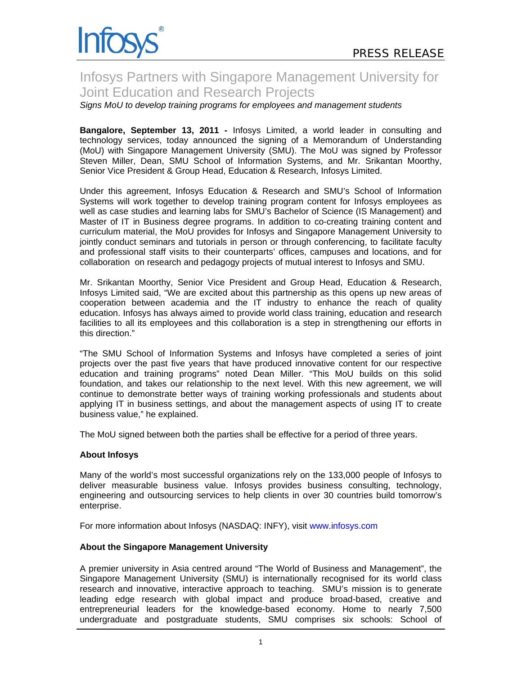

# Infosys Partners with Singapore Management University for Joint Education and Research Projects

*Signs MoU to develop training programs for employees and management students* 

**Bangalore, September 13, 2011 -** Infosys Limited, a world leader in consulting and technology services, today announced the signing of a Memorandum of Understanding (MoU) with Singapore Management University (SMU). The MoU was signed by Professor Steven Miller, Dean, SMU School of Information Systems, and Mr. Srikantan Moorthy, Senior Vice President & Group Head, Education & Research, Infosys Limited.

Under this agreement, Infosys Education & Research and SMU's School of Information Systems will work together to develop training program content for Infosys employees as well as case studies and learning labs for SMU's Bachelor of Science (IS Management) and Master of IT in Business degree programs. In addition to co-creating training content and curriculum material, the MoU provides for Infosys and Singapore Management University to jointly conduct seminars and tutorials in person or through conferencing, to facilitate faculty and professional staff visits to their counterparts' offices, campuses and locations, and for collaboration on research and pedagogy projects of mutual interest to Infosys and SMU.

Mr. Srikantan Moorthy, Senior Vice President and Group Head, Education & Research, Infosys Limited said, "We are excited about this partnership as this opens up new areas of cooperation between academia and the IT industry to enhance the reach of quality education. Infosys has always aimed to provide world class training, education and research facilities to all its employees and this collaboration is a step in strengthening our efforts in this direction."

"The SMU School of Information Systems and Infosys have completed a series of joint projects over the past five years that have produced innovative content for our respective education and training programs" noted Dean Miller. "This MoU builds on this solid foundation, and takes our relationship to the next level. With this new agreement, we will continue to demonstrate better ways of training working professionals and students about applying IT in business settings, and about the management aspects of using IT to create business value," he explained.

The MoU signed between both the parties shall be effective for a period of three years.

### **About Infosys**

Many of the world's most successful organizations rely on the 133,000 people of Infosys to deliver measurable business value. Infosys provides business consulting, technology, engineering and outsourcing services to help clients in over 30 countries build tomorrow's enterprise.

For more information about Infosys (NASDAQ: INFY), visit www.infosys.com

## **About the Singapore Management University**

A premier university in Asia centred around "The World of Business and Management", the Singapore Management University (SMU) is internationally recognised for its world class research and innovative, interactive approach to teaching. SMU's mission is to generate leading edge research with global impact and produce broad-based, creative and entrepreneurial leaders for the knowledge-based economy. Home to nearly 7,500 undergraduate and postgraduate students, SMU comprises six schools: School of